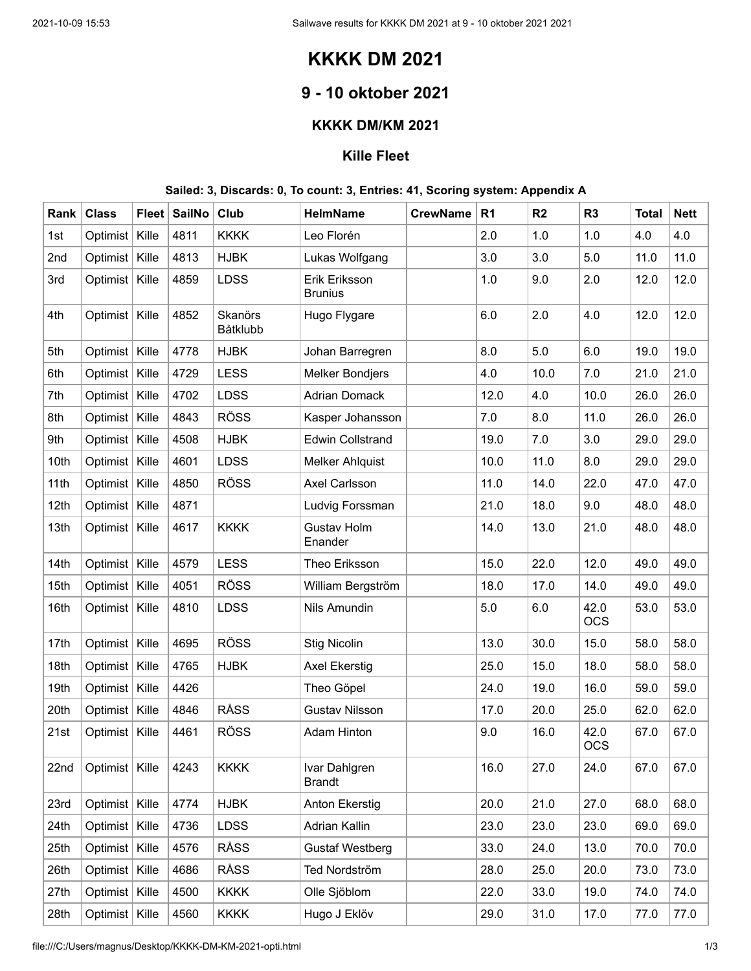# **KKKK DM 2021**

## **9 - 10 oktober 2021**

#### **KKKK DM/KM 2021**

#### **Kille Fleet**

#### **Sailed: 3, Discards: 0, To count: 3, Entries: 41, Scoring system: Appendix A**

| Rank | <b>Class</b>     | <b>Fleet</b> | <b>SailNo</b> | Club                | HelmName                        | <b>CrewName</b> | R <sub>1</sub> | R <sub>2</sub> | R <sub>3</sub>     | <b>Total</b> | <b>Nett</b> |
|------|------------------|--------------|---------------|---------------------|---------------------------------|-----------------|----------------|----------------|--------------------|--------------|-------------|
| 1st  | Optimist         | Kille        | 4811          | <b>KKKK</b>         | Leo Florén                      |                 | 2.0            | 1.0            | 1.0                | 4.0          | 4.0         |
| 2nd  | Optimist         | Kille        | 4813          | <b>HJBK</b>         | Lukas Wolfgang                  |                 | 3.0            | 3.0            | 5.0                | 11.0         | 11.0        |
| 3rd  | Optimist         | Kille        | 4859          | <b>LDSS</b>         | Erik Eriksson<br><b>Brunius</b> |                 | 1.0            | 9.0            | 2.0                | 12.0         | 12.0        |
| 4th  | Optimist         | Kille        | 4852          | Skanörs<br>Båtklubb | Hugo Flygare                    |                 | 6.0            | 2.0            | 4.0                | 12.0         | 12.0        |
| 5th  | Optimist   Kille |              | 4778          | <b>HJBK</b>         | Johan Barregren                 |                 | 8.0            | 5.0            | 6.0                | 19.0         | 19.0        |
| 6th  | Optimist         | Kille        | 4729          | <b>LESS</b>         | <b>Melker Bondjers</b>          |                 | 4.0            | 10.0           | 7.0                | 21.0         | 21.0        |
| 7th  | Optimist         | Kille        | 4702          | <b>LDSS</b>         | <b>Adrian Domack</b>            |                 | 12.0           | 4.0            | 10.0               | 26.0         | 26.0        |
| 8th  | Optimist         | Kille        | 4843          | <b>RÖSS</b>         | Kasper Johansson                |                 | 7.0            | 8.0            | 11.0               | 26.0         | 26.0        |
| 9th  | Optimist         | Kille        | 4508          | <b>HJBK</b>         | <b>Edwin Collstrand</b>         |                 | 19.0           | 7.0            | 3.0                | 29.0         | 29.0        |
| 10th | Optimist         | Kille        | 4601          | <b>LDSS</b>         | <b>Melker Ahlquist</b>          |                 | 10.0           | 11.0           | 8.0                | 29.0         | 29.0        |
| 11th | Optimist         | Kille        | 4850          | <b>RÖSS</b>         | Axel Carlsson                   |                 | 11.0           | 14.0           | 22.0               | 47.0         | 47.0        |
| 12th | Optimist         | Kille        | 4871          |                     | Ludvig Forssman                 |                 | 21.0           | 18.0           | 9.0                | 48.0         | 48.0        |
| 13th | Optimist   Kille |              | 4617          | <b>KKKK</b>         | <b>Gustav Holm</b><br>Enander   |                 | 14.0           | 13.0           | 21.0               | 48.0         | 48.0        |
| 14th | Optimist   Kille |              | 4579          | <b>LESS</b>         | Theo Eriksson                   |                 | 15.0           | 22.0           | 12.0               | 49.0         | 49.0        |
| 15th | Optimist   Kille |              | 4051          | <b>RÖSS</b>         | William Bergström               |                 | 18.0           | 17.0           | 14.0               | 49.0         | 49.0        |
| 16th | Optimist   Kille |              | 4810          | <b>LDSS</b>         | Nils Amundin                    |                 | 5.0            | 6.0            | 42.0<br><b>OCS</b> | 53.0         | 53.0        |
| 17th | Optimist         | Kille        | 4695          | <b>RÖSS</b>         | <b>Stig Nicolin</b>             |                 | 13.0           | 30.0           | 15.0               | 58.0         | 58.0        |
| 18th | Optimist         | Kille        | 4765          | <b>HJBK</b>         | <b>Axel Ekerstig</b>            |                 | 25.0           | 15.0           | 18.0               | 58.0         | 58.0        |
| 19th | Optimist         | Kille        | 4426          |                     | Theo Göpel                      |                 | 24.0           | 19.0           | 16.0               | 59.0         | 59.0        |
| 20th | Optimist         | Kille        | 4846          | <b>RÅSS</b>         | <b>Gustav Nilsson</b>           |                 | 17.0           | 20.0           | 25.0               | 62.0         | 62.0        |
| 21st | Optimist         | Kille        | 4461          | <b>RÖSS</b>         | <b>Adam Hinton</b>              |                 | 9.0            | 16.0           | 42.0<br><b>OCS</b> | 67.0         | 67.0        |
| 22nd | Optimist   Kille |              | 4243          | <b>KKKK</b>         | Ivar Dahlgren<br><b>Brandt</b>  |                 | 16.0           | 27.0           | 24.0               | 67.0         | 67.0        |
| 23rd | Optimist   Kille |              | 4774          | <b>HJBK</b>         | Anton Ekerstig                  |                 | 20.0           | 21.0           | 27.0               | 68.0         | 68.0        |
| 24th | Optimist         | Kille        | 4736          | <b>LDSS</b>         | Adrian Kallin                   |                 | 23.0           | 23.0           | 23.0               | 69.0         | 69.0        |
| 25th | Optimist         | Kille        | 4576          | <b>RÅSS</b>         | <b>Gustaf Westberg</b>          |                 | 33.0           | 24.0           | 13.0               | 70.0         | 70.0        |
| 26th | Optimist         | Kille        | 4686          | <b>RÅSS</b>         | Ted Nordström                   |                 | 28.0           | 25.0           | 20.0               | 73.0         | 73.0        |
| 27th | Optimist         | Kille        | 4500          | <b>KKKK</b>         | Olle Sjöblom                    |                 | 22.0           | 33.0           | 19.0               | 74.0         | 74.0        |
| 28th | Optimist         | Kille        | 4560          | <b>KKKK</b>         | Hugo J Eklöv                    |                 | 29.0           | 31.0           | 17.0               | 77.0         | 77.0        |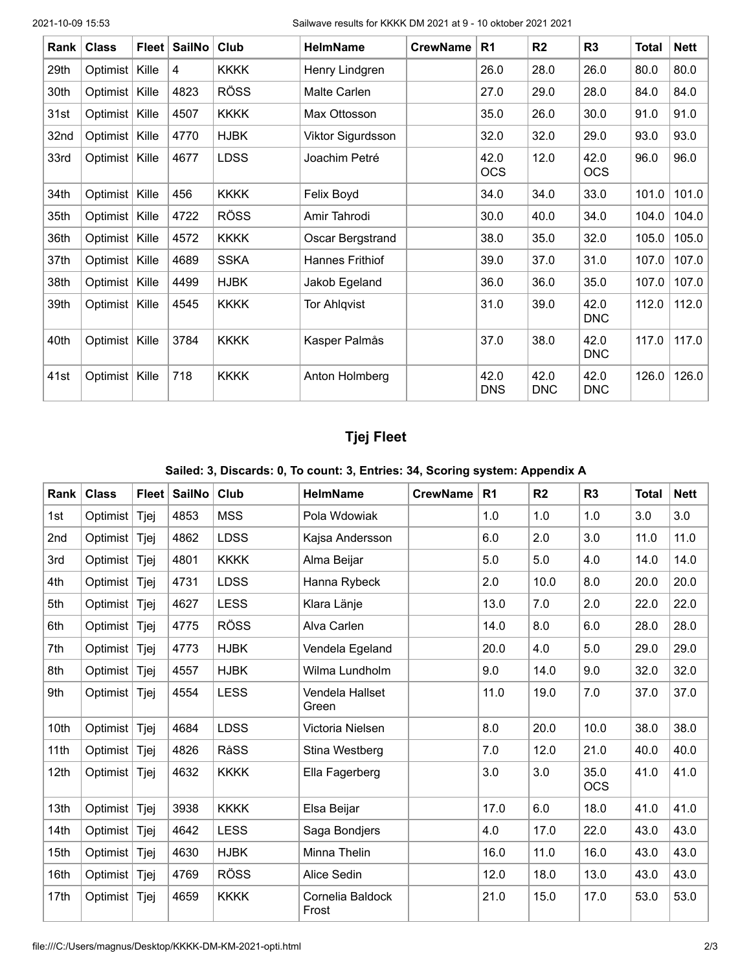2021-10-09 15:53 Sailwave results for KKKK DM 2021 at 9 - 10 oktober 2021 2021

| Rank | <b>Class</b> | <b>Fleet</b> | <b>SailNo</b> | Club        | <b>HelmName</b>     | <b>CrewName</b> | R <sub>1</sub>     | R <sub>2</sub>     | R <sub>3</sub>     | <b>Total</b> | <b>Nett</b> |
|------|--------------|--------------|---------------|-------------|---------------------|-----------------|--------------------|--------------------|--------------------|--------------|-------------|
| 29th | Optimist     | Kille        | 4             | <b>KKKK</b> | Henry Lindgren      |                 | 26.0               | 28.0               | 26.0               | 80.0         | 80.0        |
| 30th | Optimist     | Kille        | 4823          | <b>RÖSS</b> | Malte Carlen        |                 | 27.0               | 29.0               | 28.0               | 84.0         | 84.0        |
| 31st | Optimist     | Kille        | 4507          | <b>KKKK</b> | Max Ottosson        |                 | 35.0               | 26.0               | 30.0               | 91.0         | 91.0        |
| 32nd | Optimist     | Kille        | 4770          | <b>HJBK</b> | Viktor Sigurdsson   |                 | 32.0               | 32.0               | 29.0               | 93.0         | 93.0        |
| 33rd | Optimist     | Kille        | 4677          | <b>LDSS</b> | Joachim Petré       |                 | 42.0<br><b>OCS</b> | 12.0               | 42.0<br><b>OCS</b> | 96.0         | 96.0        |
| 34th | Optimist     | Kille        | 456           | <b>KKKK</b> | Felix Boyd          |                 | 34.0               | 34.0               | 33.0               | 101.0        | 101.0       |
| 35th | Optimist     | Kille        | 4722          | <b>RÖSS</b> | Amir Tahrodi        |                 | 30.0               | 40.0               | 34.0               | 104.0        | 104.0       |
| 36th | Optimist     | Kille        | 4572          | <b>KKKK</b> | Oscar Bergstrand    |                 | 38.0               | 35.0               | 32.0               | 105.0        | 105.0       |
| 37th | Optimist     | Kille        | 4689          | <b>SSKA</b> | Hannes Frithiof     |                 | 39.0               | 37.0               | 31.0               | 107.0        | 107.0       |
| 38th | Optimist     | Kille        | 4499          | <b>HJBK</b> | Jakob Egeland       |                 | 36.0               | 36.0               | 35.0               | 107.0        | 107.0       |
| 39th | Optimist     | Kille        | 4545          | <b>KKKK</b> | <b>Tor Ahlqvist</b> |                 | 31.0               | 39.0               | 42.0<br><b>DNC</b> | 112.0        | 112.0       |
| 40th | Optimist     | Kille        | 3784          | <b>KKKK</b> | Kasper Palmås       |                 | 37.0               | 38.0               | 42.0<br><b>DNC</b> | 117.0        | 117.0       |
| 41st | Optimist     | Kille        | 718           | <b>KKKK</b> | Anton Holmberg      |                 | 42.0<br><b>DNS</b> | 42.0<br><b>DNC</b> | 42.0<br><b>DNC</b> | 126.0        | 126.0       |

### **Tjej Fleet**

#### **Sailed: 3, Discards: 0, To count: 3, Entries: 34, Scoring system: Appendix A**

| Rank | <b>Class</b> | <b>Fleet</b> | SailNo | Club        | <b>HelmName</b>           | <b>CrewName</b> | R <sub>1</sub> | R <sub>2</sub> | R <sub>3</sub>     | <b>Total</b> | <b>Nett</b> |
|------|--------------|--------------|--------|-------------|---------------------------|-----------------|----------------|----------------|--------------------|--------------|-------------|
| 1st  | Optimist     | Tjej         | 4853   | <b>MSS</b>  | Pola Wdowiak              |                 | 1.0            | 1.0            | 1.0                | 3.0          | 3.0         |
| 2nd  | Optimist     | Tjej         | 4862   | <b>LDSS</b> | Kajsa Andersson           |                 | 6.0            | 2.0            | 3.0                | 11.0         | 11.0        |
| 3rd  | Optimist     | Tjej         | 4801   | <b>KKKK</b> | Alma Beijar               |                 | 5.0            | 5.0            | 4.0                | 14.0         | 14.0        |
| 4th  | Optimist     | Tjej         | 4731   | <b>LDSS</b> | Hanna Rybeck              |                 | 2.0            | 10.0           | 8.0                | 20.0         | 20.0        |
| 5th  | Optimist     | Tjej         | 4627   | <b>LESS</b> | Klara Länje               |                 | 13.0           | 7.0            | 2.0                | 22.0         | 22.0        |
| 6th  | Optimist     | Tjej         | 4775   | <b>RÖSS</b> | Alva Carlen               |                 | 14.0           | 8.0            | 6.0                | 28.0         | 28.0        |
| 7th  | Optimist     | Tjej         | 4773   | <b>HJBK</b> | Vendela Egeland           |                 | 20.0           | 4.0            | 5.0                | 29.0         | 29.0        |
| 8th  | Optimist     | Tjej         | 4557   | <b>HJBK</b> | Wilma Lundholm            |                 | 9.0            | 14.0           | 9.0                | 32.0         | 32.0        |
| 9th  | Optimist     | Tjej         | 4554   | <b>LESS</b> | Vendela Hallset<br>Green  |                 | 11.0           | 19.0           | 7.0                | 37.0         | 37.0        |
| 10th | Optimist     | Tjej         | 4684   | <b>LDSS</b> | Victoria Nielsen          |                 | 8.0            | 20.0           | 10.0               | 38.0         | 38.0        |
| 11th | Optimist     | Tjej         | 4826   | RåSS        | Stina Westberg            |                 | 7.0            | 12.0           | 21.0               | 40.0         | 40.0        |
| 12th | Optimist     | Tjej         | 4632   | <b>KKKK</b> | Ella Fagerberg            |                 | 3.0            | 3.0            | 35.0<br><b>OCS</b> | 41.0         | 41.0        |
| 13th | Optimist     | Tjej         | 3938   | <b>KKKK</b> | Elsa Beijar               |                 | 17.0           | 6.0            | 18.0               | 41.0         | 41.0        |
| 14th | Optimist     | Tjej         | 4642   | <b>LESS</b> | Saga Bondjers             |                 | 4.0            | 17.0           | 22.0               | 43.0         | 43.0        |
| 15th | Optimist     | Tjej         | 4630   | <b>HJBK</b> | Minna Thelin              |                 | 16.0           | 11.0           | 16.0               | 43.0         | 43.0        |
| 16th | Optimist     | Tjej         | 4769   | <b>RÖSS</b> | Alice Sedin               |                 | 12.0           | 18.0           | 13.0               | 43.0         | 43.0        |
| 17th | Optimist     | Tjej         | 4659   | <b>KKKK</b> | Cornelia Baldock<br>Frost |                 | 21.0           | 15.0           | 17.0               | 53.0         | 53.0        |